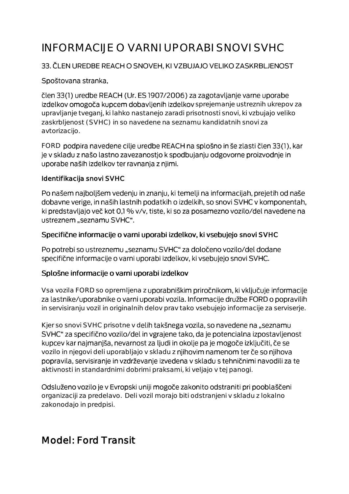# INFORMACIJE O VARNI UPORABI SNOVI SVHC

#### 33. ČLEN UREDBE REACH O SNOVEH, KI VZBUJAJO VELIKO ZASKRBLJENOST

#### Spoštovana stranka,

člen 33(1) uredbe REACH (Ur. ES 1907/2006) za zagotavljanje varne uporabe izdelkov omogoča kupcem dobavljenih izdelkov sprejemanje ustreznih ukrepov za upravljanje tveganj, ki lahko nastanejo zaradi prisotnosti snovi, ki vzbujajo veliko zaskrbljenost (SVHC) in so navedene na seznamu kandidatnih snovi za avtorizacijo.

FORD podpira navedene cilje uredbe REACH na splošno in še zlasti člen 33(1), kar je v skladu z našo lastno zavezanostjo k spodbujanju odgovorne proizvodnje in uporabe naših izdelkov ter ravnanja z njimi.

#### Identifikacija snovi SVHC

Po našem najboljšem vedenju in znanju, ki temelji na informacijah, prejetih od naše dobavne verige, in naših lastnih podatkih o izdelkih, so snovi SVHC v komponentah, ki predstavljajo več kot 0,1 % v/v, tiste, ki so za posamezno vozilo/del navedene na ustreznem "seznamu SVHC".

#### Specifične informacije o varni uporabi izdelkov, ki vsebujejo snovi SVHC

Po potrebi so ustreznemu "seznamu SVHC" za določeno vozilo/del dodane specifične informacije o varni uporabi izdelkov, ki vsebujejo snovi SVHC.

#### Splošne informacije o varni uporabi izdelkov

Vsa vozila FORD so opremljena z uporabniškim priročnikom, ki vključuje informacije za lastnike/uporabnike o varni uporabi vozila. Informacije družbe FORD o popravilih in servisiranju vozil in originalnih delov prav tako vsebujejo informacije za serviserje.

Kjer so snovi SVHC prisotne v delih takšnega vozila, so navedene na "seznamu SVHC" za specifično vozilo/del in vgrajene tako, da je potencialna izpostavljenost kupcev kar najmanjša, nevarnost za ljudi in okolje pa je mogoče izključiti, če se vozilo in njegovi deli uporabljajo v skladu z njihovim namenom ter če so njihova popravila, servisiranje in vzdrževanje izvedena v skladu s tehničnimi navodili za te aktivnosti in standardnimi dobrimi praksami, ki veljajo v tej panogi.

Odsluženo vozilo je v Evropski uniji mogoče zakonito odstraniti pri pooblaščeni organizaciji za predelavo. Deli vozil morajo biti odstranjeni v skladu z lokalno zakonodajo in predpisi.

## Model: Ford Transit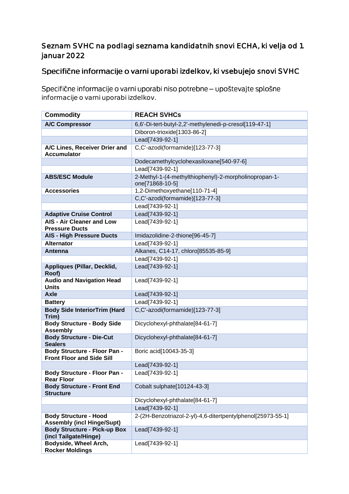#### Seznam SVHC na podlagi seznama kandidatnih snovi ECHA, ki velja od 1. januar 2022

### Specifične informacije o varni uporabi izdelkov, ki vsebujejo snovi SVHC

Specifične informacije o varni uporabi niso potrebne - upoštevajte splošne informacije o varni uporabi izdelkov.

| <b>Commodity</b>                                                        | <b>REACH SVHCs</b>                                                       |
|-------------------------------------------------------------------------|--------------------------------------------------------------------------|
| <b>A/C Compressor</b>                                                   | 6,6'-Di-tert-butyl-2,2'-methylenedi-p-cresol[119-47-1]                   |
|                                                                         | Diboron-trioxide[1303-86-2]                                              |
|                                                                         | Lead[7439-92-1]                                                          |
| A/C Lines, Receiver Drier and<br><b>Accumulator</b>                     | C,C'-azodi(formamide)[123-77-3]                                          |
|                                                                         | Dodecamethylcyclohexasiloxane[540-97-6]                                  |
|                                                                         | Lead[7439-92-1]                                                          |
| <b>ABS/ESC Module</b>                                                   | 2-Methyl-1-(4-methylthiophenyl)-2-morpholinopropan-1-<br>one[71868-10-5] |
| <b>Accessories</b>                                                      | 1,2-Dimethoxyethane[110-71-4]                                            |
|                                                                         | C,C'-azodi(formamide)[123-77-3]                                          |
|                                                                         | Lead[7439-92-1]                                                          |
| <b>Adaptive Cruise Control</b>                                          | Lead[7439-92-1]                                                          |
| <b>AIS - Air Cleaner and Low</b><br><b>Pressure Ducts</b>               | Lead[7439-92-1]                                                          |
| <b>AIS - High Pressure Ducts</b>                                        | Imidazolidine-2-thione[96-45-7]                                          |
| <b>Alternator</b>                                                       | Lead[7439-92-1]                                                          |
| <b>Antenna</b>                                                          | Alkanes, C14-17, chloro[85535-85-9]                                      |
|                                                                         | Lead[7439-92-1]                                                          |
| Appliques (Pillar, Decklid,<br>Roof)                                    | Lead[7439-92-1]                                                          |
| <b>Audio and Navigation Head</b><br><b>Units</b>                        | Lead[7439-92-1]                                                          |
| <b>Axle</b>                                                             | Lead[7439-92-1]                                                          |
| <b>Battery</b>                                                          | Lead[7439-92-1]                                                          |
| <b>Body Side InteriorTrim (Hard</b><br>Trim)                            | C,C'-azodi(formamide)[123-77-3]                                          |
| <b>Body Structure - Body Side</b><br><b>Assembly</b>                    | Dicyclohexyl-phthalate[84-61-7]                                          |
| <b>Body Structure - Die-Cut</b><br><b>Sealers</b>                       | Dicyclohexyl-phthalate[84-61-7]                                          |
| <b>Body Structure - Floor Pan -</b><br><b>Front Floor and Side Sill</b> | Boric acid[10043-35-3]                                                   |
|                                                                         | Lead[7439-92-1]                                                          |
| <b>Body Structure - Floor Pan -</b><br><b>Rear Floor</b>                | Lead[7439-92-1]                                                          |
| <b>Body Structure - Front End</b><br><b>Structure</b>                   | Cobalt sulphate[10124-43-3]                                              |
|                                                                         | Dicyclohexyl-phthalate[84-61-7]                                          |
|                                                                         | Lead[7439-92-1]                                                          |
| <b>Body Structure - Hood</b><br><b>Assembly (incl Hinge/Supt)</b>       | 2-(2H-Benzotriazol-2-yl)-4,6-ditertpentylphenol[25973-55-1]              |
| <b>Body Structure - Pick-up Box</b><br>(incl Tailgate/Hinge)            | Lead[7439-92-1]                                                          |
| Bodyside, Wheel Arch,<br><b>Rocker Moldings</b>                         | Lead[7439-92-1]                                                          |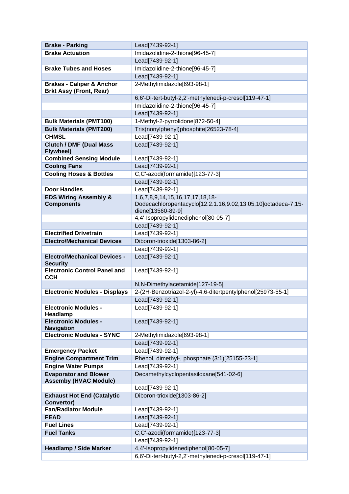| <b>Brake - Parking</b>                                       | Lead[7439-92-1]                                                                                  |
|--------------------------------------------------------------|--------------------------------------------------------------------------------------------------|
| <b>Brake Actuation</b>                                       | Imidazolidine-2-thione[96-45-7]                                                                  |
|                                                              | Lead[7439-92-1]                                                                                  |
| <b>Brake Tubes and Hoses</b>                                 | Imidazolidine-2-thione[96-45-7]                                                                  |
|                                                              | Lead[7439-92-1]                                                                                  |
| <b>Brakes - Caliper &amp; Anchor</b>                         | 2-Methylimidazole[693-98-1]                                                                      |
| <b>Brkt Assy (Front, Rear)</b>                               |                                                                                                  |
|                                                              | 6,6'-Di-tert-butyl-2,2'-methylenedi-p-cresol[119-47-1]                                           |
|                                                              | Imidazolidine-2-thione[96-45-7]                                                                  |
|                                                              | Lead[7439-92-1]                                                                                  |
| <b>Bulk Materials (PMT100)</b>                               | 1-Methyl-2-pyrrolidone[872-50-4]                                                                 |
| <b>Bulk Materials (PMT200)</b>                               | Tris(nonylphenyl)phosphite[26523-78-4]                                                           |
| <b>CHMSL</b>                                                 | Lead[7439-92-1]                                                                                  |
| <b>Clutch / DMF (Dual Mass)</b><br>Flywheel)                 | Lead[7439-92-1]                                                                                  |
| <b>Combined Sensing Module</b>                               | Lead[7439-92-1]                                                                                  |
| <b>Cooling Fans</b>                                          | Lead[7439-92-1]                                                                                  |
| <b>Cooling Hoses &amp; Bottles</b>                           | C,C'-azodi(formamide)[123-77-3]                                                                  |
|                                                              |                                                                                                  |
| <b>Door Handles</b>                                          | Lead[7439-92-1]<br>Lead[7439-92-1]                                                               |
| <b>EDS Wiring Assembly &amp;</b>                             |                                                                                                  |
| <b>Components</b>                                            | 1,6,7,8,9,14,15,16,17,17,18,18-<br>Dodecachloropentacyclo[12.2.1.16,9.02,13.05,10]octadeca-7,15- |
|                                                              | diene[13560-89-9]                                                                                |
|                                                              | 4,4'-Isopropylidenediphenol[80-05-7]                                                             |
|                                                              | Lead[7439-92-1]                                                                                  |
| <b>Electrified Drivetrain</b>                                | Lead[7439-92-1]                                                                                  |
| <b>Electro/Mechanical Devices</b>                            | Diboron-trioxide[1303-86-2]                                                                      |
|                                                              | Lead[7439-92-1]                                                                                  |
| <b>Electro/Mechanical Devices -</b>                          | Lead[7439-92-1]                                                                                  |
| <b>Security</b>                                              |                                                                                                  |
| <b>Electronic Control Panel and</b><br><b>CCH</b>            | Lead[7439-92-1]                                                                                  |
|                                                              | N,N-Dimethylacetamide[127-19-5]                                                                  |
| <b>Electronic Modules - Displays</b>                         | 2-(2H-Benzotriazol-2-yl)-4,6-ditertpentylphenol[25973-55-1]                                      |
|                                                              | Lead[7439-92-1]                                                                                  |
| <b>Electronic Modules -</b>                                  | Lead[7439-92-1]                                                                                  |
| Headlamp                                                     |                                                                                                  |
| <b>Electronic Modules -</b><br><b>Navigation</b>             | Lead[7439-92-1]                                                                                  |
| <b>Electronic Modules - SYNC</b>                             | 2-Methylimidazole[693-98-1]                                                                      |
|                                                              | Lead[7439-92-1]                                                                                  |
| <b>Emergency Packet</b>                                      | Lead[7439-92-1]                                                                                  |
| <b>Engine Compartment Trim</b>                               | Phenol, dimethyl-, phosphate (3:1)[25155-23-1]                                                   |
| <b>Engine Water Pumps</b>                                    | Lead[7439-92-1]                                                                                  |
| <b>Evaporator and Blower</b><br><b>Assemby (HVAC Module)</b> | Decamethylcyclopentasiloxane[541-02-6]                                                           |
|                                                              | Lead[7439-92-1]                                                                                  |
| <b>Exhaust Hot End (Catalytic</b><br>Convertor)              | Diboron-trioxide[1303-86-2]                                                                      |
| <b>Fan/Radiator Module</b>                                   | Lead[7439-92-1]                                                                                  |
| <b>FEAD</b>                                                  | Lead[7439-92-1]                                                                                  |
| <b>Fuel Lines</b>                                            | Lead[7439-92-1]                                                                                  |
| <b>Fuel Tanks</b>                                            | C,C'-azodi(formamide)[123-77-3]                                                                  |
|                                                              | Lead[7439-92-1]                                                                                  |
| <b>Headlamp / Side Marker</b>                                | 4,4'-Isopropylidenediphenol[80-05-7]                                                             |
|                                                              | 6,6'-Di-tert-butyl-2,2'-methylenedi-p-cresol[119-47-1]                                           |
|                                                              |                                                                                                  |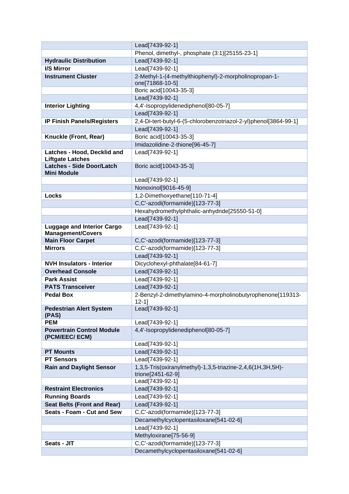|                                                               | Lead[7439-92-1]                                                  |
|---------------------------------------------------------------|------------------------------------------------------------------|
|                                                               | Phenol, dimethyl-, phosphate (3:1)[25155-23-1]                   |
| <b>Hydraulic Distribution</b>                                 | Lead[7439-92-1]                                                  |
| I/S Mirror                                                    | Lead[7439-92-1]                                                  |
| <b>Instrument Cluster</b>                                     | 2-Methyl-1-(4-methylthiophenyl)-2-morpholinopropan-1-            |
|                                                               | one[71868-10-5]<br>Boric acid[10043-35-3]                        |
|                                                               |                                                                  |
| <b>Interior Lighting</b>                                      | Lead[7439-92-1]<br>4,4'-Isopropylidenediphenol[80-05-7]          |
|                                                               |                                                                  |
|                                                               | Lead[7439-92-1]                                                  |
| <b>IP Finish Panels/Registers</b>                             | 2,4-Di-tert-butyl-6-(5-chlorobenzotriazol-2-yl)phenol[3864-99-1] |
|                                                               | Lead[7439-92-1]                                                  |
| Knuckle (Front, Rear)                                         | Boric acid[10043-35-3]                                           |
|                                                               | Imidazolidine-2-thione[96-45-7]                                  |
| Latches - Hood, Decklid and<br><b>Liftgate Latches</b>        | Lead[7439-92-1]                                                  |
| <b>Latches - Side Door/Latch</b>                              | Boric acid[10043-35-3]                                           |
| <b>Mini Module</b>                                            |                                                                  |
|                                                               | Lead[7439-92-1]<br>Nonoxinol[9016-45-9]                          |
| <b>Locks</b>                                                  | 1,2-Dimethoxyethane[110-71-4]                                    |
|                                                               | C,C'-azodi(formamide)[123-77-3]                                  |
|                                                               |                                                                  |
|                                                               | Hexahydromethylphthalic-anhydride[25550-51-0]                    |
|                                                               | Lead[7439-92-1]                                                  |
| <b>Luggage and Interior Cargo</b><br><b>Management/Covers</b> | Lead[7439-92-1]                                                  |
| <b>Main Floor Carpet</b>                                      | C,C'-azodi(formamide)[123-77-3]                                  |
| <b>Mirrors</b>                                                | C,C'-azodi(formamide)[123-77-3]                                  |
|                                                               | Lead[7439-92-1]                                                  |
| <b>NVH Insulators - Interior</b>                              | Dicyclohexyl-phthalate[84-61-7]                                  |
| <b>Overhead Console</b>                                       | Lead[7439-92-1]                                                  |
| <b>Park Assist</b>                                            | Lead[7439-92-1]                                                  |
| <b>PATS Transceiver</b>                                       | Lead[7439-92-1]                                                  |
| <b>Pedal Box</b>                                              | 2-Benzyl-2-dimethylamino-4-morpholinobutyrophenone[119313-       |
|                                                               | $12 - 11$                                                        |
| <b>Pedestrian Alert System</b><br>(PAS)                       | Lead[7439-92-1]                                                  |
| <b>PEM</b>                                                    | Lead[7439-92-1]                                                  |
| <b>Powertrain Control Module</b>                              | 4,4'-Isopropylidenediphenol[80-05-7]                             |
| (PCM/EEC/ ECM)                                                |                                                                  |
|                                                               | Lead[7439-92-1]                                                  |
| <b>PT Mounts</b>                                              | Lead[7439-92-1]                                                  |
| <b>PT Sensors</b>                                             | Lead[7439-92-1]                                                  |
| <b>Rain and Daylight Sensor</b>                               | 1,3,5-Tris(oxiranylmethyl)-1,3,5-triazine-2,4,6(1H,3H,5H)-       |
|                                                               | trione[2451-62-9]                                                |
|                                                               | Lead[7439-92-1]                                                  |
| <b>Restraint Electronics</b>                                  | Lead[7439-92-1]                                                  |
| <b>Running Boards</b>                                         | Lead[7439-92-1]                                                  |
| <b>Seat Belts (Front and Rear)</b>                            | Lead[7439-92-1]                                                  |
| Seats - Foam - Cut and Sew                                    | C,C'-azodi(formamide)[123-77-3]                                  |
|                                                               | Decamethylcyclopentasiloxane[541-02-6]                           |
|                                                               | Lead[7439-92-1]                                                  |
|                                                               | Methyloxirane[75-56-9]                                           |
| Seats - JIT                                                   | C,C'-azodi(formamide)[123-77-3]                                  |
|                                                               | Decamethylcyclopentasiloxane[541-02-6]                           |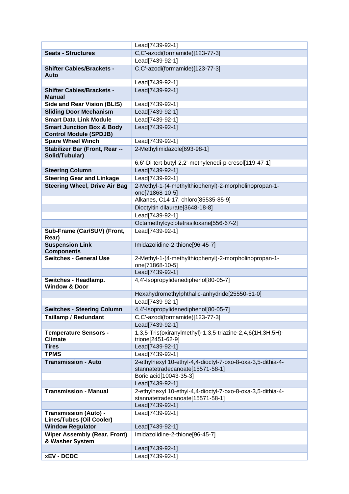|                                                                       | Lead[7439-92-1]                                                                                 |
|-----------------------------------------------------------------------|-------------------------------------------------------------------------------------------------|
| <b>Seats - Structures</b>                                             | C,C'-azodi(formamide)[123-77-3]                                                                 |
|                                                                       | Lead[7439-92-1]                                                                                 |
| <b>Shifter Cables/Brackets -</b>                                      | C,C'-azodi(formamide)[123-77-3]                                                                 |
| Auto                                                                  |                                                                                                 |
|                                                                       | Lead[7439-92-1]                                                                                 |
| <b>Shifter Cables/Brackets -</b>                                      | Lead[7439-92-1]                                                                                 |
| <b>Manual</b>                                                         |                                                                                                 |
| <b>Side and Rear Vision (BLIS)</b>                                    | Lead[7439-92-1]                                                                                 |
| <b>Sliding Door Mechanism</b>                                         | Lead[7439-92-1]                                                                                 |
| <b>Smart Data Link Module</b>                                         | Lead[7439-92-1]                                                                                 |
| <b>Smart Junction Box &amp; Body</b><br><b>Control Module (SPDJB)</b> | Lead[7439-92-1]                                                                                 |
| <b>Spare Wheel Winch</b>                                              | Lead[7439-92-1]                                                                                 |
| Stabilizer Bar (Front, Rear --                                        | 2-Methylimidazole[693-98-1]                                                                     |
| Solid/Tubular)                                                        |                                                                                                 |
|                                                                       | 6,6'-Di-tert-butyl-2,2'-methylenedi-p-cresol[119-47-1]                                          |
| <b>Steering Column</b>                                                | Lead[7439-92-1]                                                                                 |
| <b>Steering Gear and Linkage</b>                                      | Lead[7439-92-1]                                                                                 |
| <b>Steering Wheel, Drive Air Bag</b>                                  | 2-Methyl-1-(4-methylthiophenyl)-2-morpholinopropan-1-                                           |
|                                                                       | one[71868-10-5]                                                                                 |
|                                                                       | Alkanes, C14-17, chloro[85535-85-9]                                                             |
|                                                                       | Dioctyltin dilaurate[3648-18-8]                                                                 |
|                                                                       | Lead[7439-92-1]                                                                                 |
|                                                                       | Octamethylcyclotetrasiloxane[556-67-2]                                                          |
| Sub-Frame (Car/SUV) (Front,<br>Rear)                                  | Lead[7439-92-1]                                                                                 |
| <b>Suspension Link</b><br><b>Components</b>                           | Imidazolidine-2-thione[96-45-7]                                                                 |
| <b>Switches - General Use</b>                                         | 2-Methyl-1-(4-methylthiophenyl)-2-morpholinopropan-1-<br>one[71868-10-5]                        |
|                                                                       | Lead[7439-92-1]                                                                                 |
| Switches - Headlamp.<br><b>Window &amp; Door</b>                      | 4,4'-Isopropylidenediphenol[80-05-7]                                                            |
|                                                                       | Hexahydromethylphthalic-anhydride[25550-51-0]                                                   |
|                                                                       | Lead[7439-92-1]                                                                                 |
| <b>Switches - Steering Column</b>                                     | 4,4'-Isopropylidenediphenol[80-05-7]                                                            |
| <b>Taillamp / Redundant</b>                                           | C,C'-azodi(formamide)[123-77-3]                                                                 |
|                                                                       | Lead[7439-92-1]                                                                                 |
| <b>Temperature Sensors -</b><br><b>Climate</b>                        | 1,3,5-Tris(oxiranylmethyl)-1,3,5-triazine-2,4,6(1H,3H,5H)-<br>trione[2451-62-9]                 |
| <b>Tires</b>                                                          | Lead[7439-92-1]                                                                                 |
| <b>TPMS</b>                                                           | Lead[7439-92-1]                                                                                 |
| <b>Transmission - Auto</b>                                            | 2-ethylhexyl 10-ethyl-4,4-dioctyl-7-oxo-8-oxa-3,5-dithia-4-<br>stannatetradecanoate[15571-58-1] |
|                                                                       | Boric acid[10043-35-3]                                                                          |
|                                                                       | Lead[7439-92-1]                                                                                 |
| <b>Transmission - Manual</b>                                          | 2-ethylhexyl 10-ethyl-4,4-dioctyl-7-oxo-8-oxa-3,5-dithia-4-                                     |
|                                                                       | stannatetradecanoate[15571-58-1]                                                                |
|                                                                       | Lead[7439-92-1]                                                                                 |
| <b>Transmission (Auto) -</b><br><b>Lines/Tubes (Oil Cooler)</b>       | Lead[7439-92-1]                                                                                 |
| <b>Window Regulator</b>                                               | Lead[7439-92-1]                                                                                 |
| <b>Wiper Assembly (Rear, Front)</b><br>& Washer System                | Imidazolidine-2-thione[96-45-7]                                                                 |
|                                                                       | Lead[7439-92-1]                                                                                 |
| <b>xEV - DCDC</b>                                                     | Lead[7439-92-1]                                                                                 |